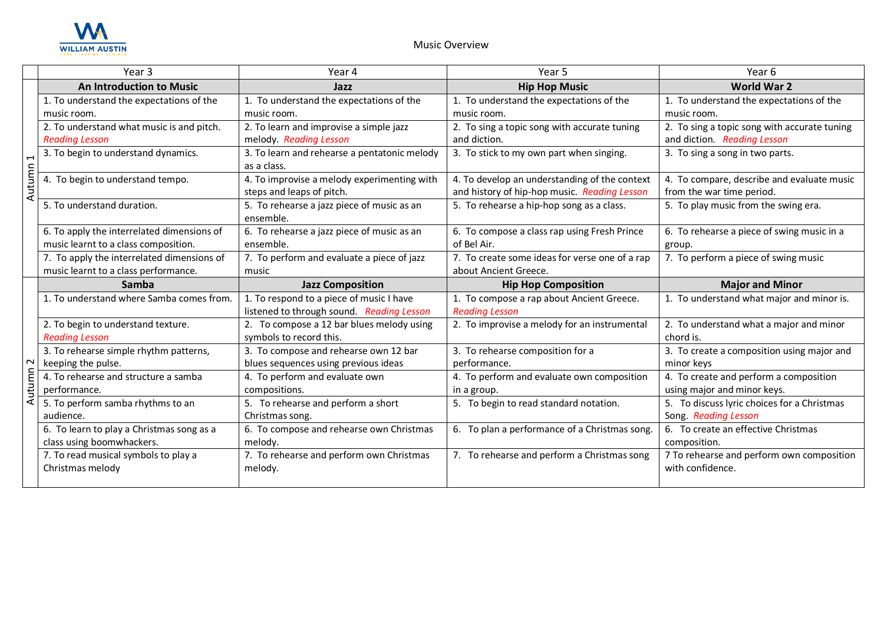

|                     | Year 3                                     | Year 4                                                                   | Year 5                                                                                        | Year 6                                                                  |
|---------------------|--------------------------------------------|--------------------------------------------------------------------------|-----------------------------------------------------------------------------------------------|-------------------------------------------------------------------------|
|                     | <b>An Introduction to Music</b>            | Jazz                                                                     | <b>Hip Hop Music</b>                                                                          | <b>World War 2</b>                                                      |
|                     | 1. To understand the expectations of the   | 1. To understand the expectations of the                                 | 1. To understand the expectations of the                                                      | 1. To understand the expectations of the                                |
|                     | music room.                                | music room.                                                              | music room.                                                                                   | music room.                                                             |
|                     | 2. To understand what music is and pitch.  | 2. To learn and improvise a simple jazz                                  | 2. To sing a topic song with accurate tuning                                                  | 2. To sing a topic song with accurate tuning                            |
|                     | <b>Reading Lesson</b>                      | melody. Reading Lesson                                                   | and diction.                                                                                  | and diction. Reading Lesson                                             |
|                     | 3. To begin to understand dynamics.        | 3. To learn and rehearse a pentatonic melody<br>as a class.              | 3. To stick to my own part when singing.                                                      | 3. To sing a song in two parts.                                         |
| Autumn 1            | 4. To begin to understand tempo.           | 4. To improvise a melody experimenting with<br>steps and leaps of pitch. | 4. To develop an understanding of the context<br>and history of hip-hop music. Reading Lesson | 4. To compare, describe and evaluate music<br>from the war time period. |
|                     | 5. To understand duration.                 | 5. To rehearse a jazz piece of music as an<br>ensemble.                  | 5. To rehearse a hip-hop song as a class.                                                     | 5. To play music from the swing era.                                    |
|                     | 6. To apply the interrelated dimensions of | 6. To rehearse a jazz piece of music as an                               | 6. To compose a class rap using Fresh Prince                                                  | 6. To rehearse a piece of swing music in a                              |
|                     | music learnt to a class composition.       | ensemble.                                                                | of Bel Air.                                                                                   | group.                                                                  |
|                     | 7. To apply the interrelated dimensions of | 7. To perform and evaluate a piece of jazz                               | 7. To create some ideas for verse one of a rap                                                | 7. To perform a piece of swing music                                    |
|                     | music learnt to a class performance.       | music                                                                    | about Ancient Greece.                                                                         |                                                                         |
|                     | Samba                                      | <b>Jazz Composition</b>                                                  | <b>Hip Hop Composition</b>                                                                    | <b>Major and Minor</b>                                                  |
|                     | 1. To understand where Samba comes from.   | 1. To respond to a piece of music I have                                 | 1. To compose a rap about Ancient Greece.                                                     | 1. To understand what major and minor is.                               |
|                     |                                            | listened to through sound. Reading Lesson                                | <b>Reading Lesson</b>                                                                         |                                                                         |
|                     | 2. To begin to understand texture.         | 2. To compose a 12 bar blues melody using                                | 2. To improvise a melody for an instrumental                                                  | 2. To understand what a major and minor                                 |
|                     | <b>Reading Lesson</b>                      | symbols to record this.                                                  |                                                                                               | chord is.                                                               |
|                     | 3. To rehearse simple rhythm patterns,     | 3. To compose and rehearse own 12 bar                                    | 3. To rehearse composition for a                                                              | 3. To create a composition using major and                              |
|                     | keeping the pulse.                         | blues sequences using previous ideas                                     | performance.                                                                                  | minor keys                                                              |
|                     | 4. To rehearse and structure a samba       | 4. To perform and evaluate own                                           | 4. To perform and evaluate own composition                                                    | 4. To create and perform a composition                                  |
| Autumn <sub>2</sub> | performance.                               | compositions.                                                            | in a group.                                                                                   | using major and minor keys.                                             |
|                     | 5. To perform samba rhythms to an          | 5. To rehearse and perform a short                                       | 5. To begin to read standard notation.                                                        | 5. To discuss lyric choices for a Christmas                             |
|                     | audience.                                  | Christmas song.                                                          |                                                                                               | Song. Reading Lesson                                                    |
|                     | 6. To learn to play a Christmas song as a  | 6. To compose and rehearse own Christmas                                 | 6. To plan a performance of a Christmas song.                                                 | 6. To create an effective Christmas                                     |
|                     | class using boomwhackers.                  | melody.                                                                  |                                                                                               | composition.                                                            |
|                     | 7. To read musical symbols to play a       | 7. To rehearse and perform own Christmas                                 | 7. To rehearse and perform a Christmas song                                                   | 7 To rehearse and perform own composition                               |
|                     | Christmas melody                           | melody.                                                                  |                                                                                               | with confidence.                                                        |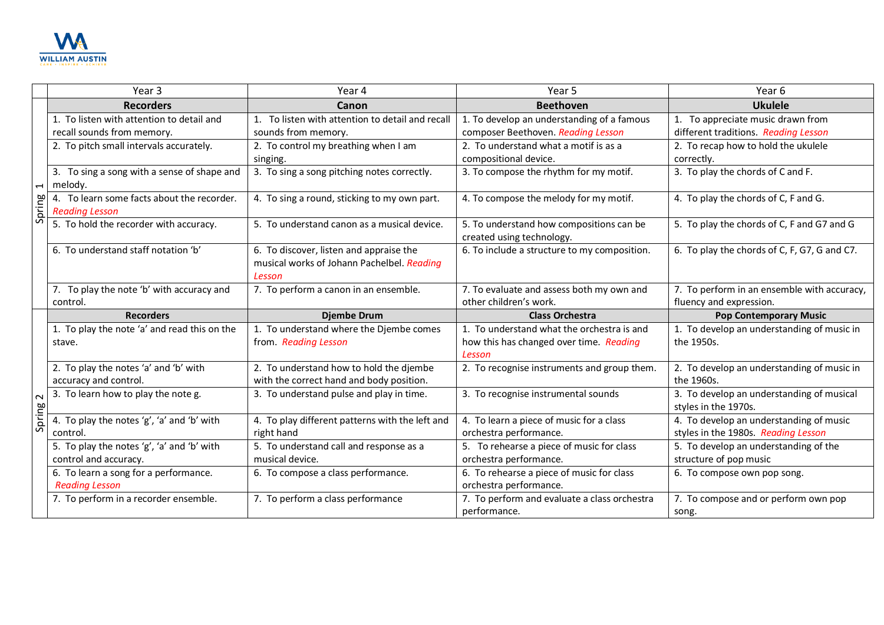

|                          | Year 3                                                                  | Year 4                                                                                          | Year 5                                                                                          | Year 6                                                                         |
|--------------------------|-------------------------------------------------------------------------|-------------------------------------------------------------------------------------------------|-------------------------------------------------------------------------------------------------|--------------------------------------------------------------------------------|
|                          | <b>Recorders</b>                                                        | Canon                                                                                           | <b>Beethoven</b>                                                                                | <b>Ukulele</b>                                                                 |
|                          | 1. To listen with attention to detail and<br>recall sounds from memory. | 1. To listen with attention to detail and recall<br>sounds from memory.                         | 1. To develop an understanding of a famous<br>composer Beethoven. Reading Lesson                | To appreciate music drawn from<br>different traditions. Reading Lesson         |
|                          | 2. To pitch small intervals accurately.                                 | 2. To control my breathing when I am<br>singing.                                                | 2. To understand what a motif is as a<br>compositional device.                                  | 2. To recap how to hold the ukulele<br>correctly.                              |
| $\overline{\phantom{0}}$ | 3. To sing a song with a sense of shape and<br>melody.                  | 3. To sing a song pitching notes correctly.                                                     | 3. To compose the rhythm for my motif.                                                          | 3. To play the chords of C and F.                                              |
| pring                    | 4. To learn some facts about the recorder.<br><b>Reading Lesson</b>     | 4. To sing a round, sticking to my own part.                                                    | 4. To compose the melody for my motif.                                                          | 4. To play the chords of C, F and G.                                           |
| $\overline{v}$           | 5. To hold the recorder with accuracy.                                  | 5. To understand canon as a musical device.                                                     | 5. To understand how compositions can be<br>created using technology.                           | 5. To play the chords of C, F and G7 and G                                     |
|                          | 6. To understand staff notation 'b'                                     | 6. To discover, listen and appraise the<br>musical works of Johann Pachelbel. Reading<br>Lesson | 6. To include a structure to my composition.                                                    | 6. To play the chords of C, F, G7, G and C7.                                   |
|                          | 7. To play the note 'b' with accuracy and<br>control.                   | 7. To perform a canon in an ensemble.                                                           | 7. To evaluate and assess both my own and<br>other children's work.                             | 7. To perform in an ensemble with accuracy,<br>fluency and expression.         |
|                          | <b>Recorders</b>                                                        | <b>Djembe Drum</b>                                                                              | <b>Class Orchestra</b>                                                                          | <b>Pop Contemporary Music</b>                                                  |
| $\sim$<br>Spring         | 1. To play the note 'a' and read this on the<br>stave.                  | 1. To understand where the Djembe comes<br>from. Reading Lesson                                 | 1. To understand what the orchestra is and<br>how this has changed over time. Reading<br>Lesson | 1. To develop an understanding of music in<br>the 1950s.                       |
|                          | 2. To play the notes 'a' and 'b' with<br>accuracy and control.          | 2. To understand how to hold the djembe<br>with the correct hand and body position.             | 2. To recognise instruments and group them.                                                     | 2. To develop an understanding of music in<br>the 1960s.                       |
|                          | 3. To learn how to play the note g.                                     | 3. To understand pulse and play in time.                                                        | 3. To recognise instrumental sounds                                                             | 3. To develop an understanding of musical<br>styles in the 1970s.              |
|                          | 4. To play the notes 'g', 'a' and 'b' with<br>control.                  | 4. To play different patterns with the left and<br>right hand                                   | 4. To learn a piece of music for a class<br>orchestra performance.                              | 4. To develop an understanding of music<br>styles in the 1980s. Reading Lesson |
|                          | 5. To play the notes 'g', 'a' and 'b' with<br>control and accuracy.     | 5. To understand call and response as a<br>musical device.                                      | 5. To rehearse a piece of music for class<br>orchestra performance.                             | 5. To develop an understanding of the<br>structure of pop music                |
|                          | 6. To learn a song for a performance.<br><b>Reading Lesson</b>          | 6. To compose a class performance.                                                              | 6. To rehearse a piece of music for class<br>orchestra performance.                             | 6. To compose own pop song.                                                    |
|                          | 7. To perform in a recorder ensemble.                                   | 7. To perform a class performance                                                               | 7. To perform and evaluate a class orchestra<br>performance.                                    | 7. To compose and or perform own pop<br>song.                                  |